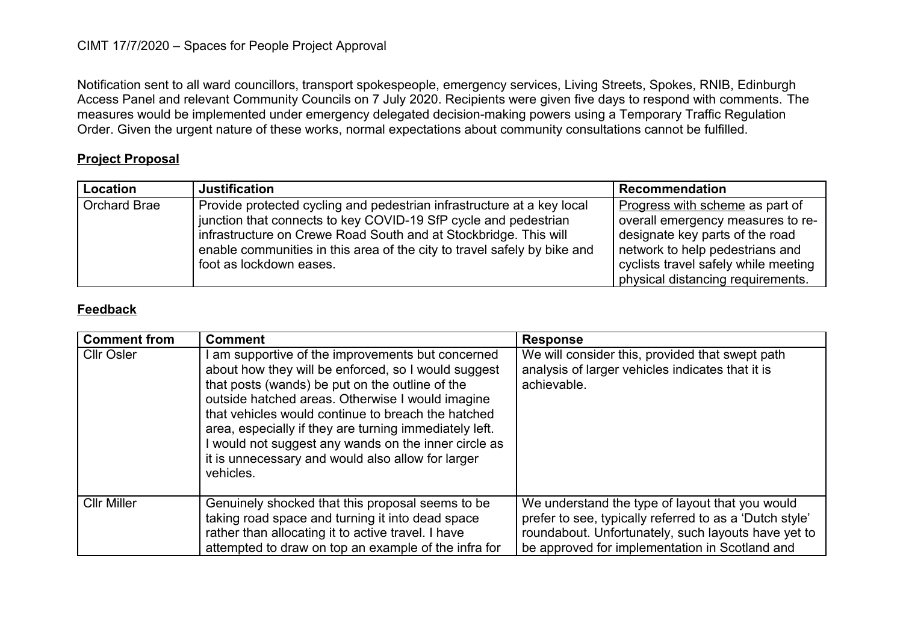## CIMT 17/7/2020 – Spaces for People Project Approval

Notification sent to all ward councillors, transport spokespeople, emergency services, Living Streets, Spokes, RNIB, Edinburgh Access Panel and relevant Community Councils on 7 July 2020. Recipients were given five days to respond with comments. The measures would be implemented under emergency delegated decision-making powers using a Temporary Traffic Regulation Order. Given the urgent nature of these works, normal expectations about community consultations cannot be fulfilled.

## **Project Proposal**

| <b>Location</b> | <b>Justification</b>                                                                                                                                                                                                                                                                                                 | <b>Recommendation</b>                                                                                                                                                                                                   |
|-----------------|----------------------------------------------------------------------------------------------------------------------------------------------------------------------------------------------------------------------------------------------------------------------------------------------------------------------|-------------------------------------------------------------------------------------------------------------------------------------------------------------------------------------------------------------------------|
| Orchard Brae    | Provide protected cycling and pedestrian infrastructure at a key local<br>junction that connects to key COVID-19 SfP cycle and pedestrian<br>infrastructure on Crewe Road South and at Stockbridge. This will<br>enable communities in this area of the city to travel safely by bike and<br>foot as lockdown eases. | Progress with scheme as part of<br>overall emergency measures to re-<br>designate key parts of the road<br>network to help pedestrians and<br>cyclists travel safely while meeting<br>physical distancing requirements. |

## **Feedback**

| <b>Comment from</b> | <b>Comment</b>                                                                                                                                                                                                                                                                                                                                                                                                                                        | <b>Response</b>                                                                                                                                                                                                     |
|---------------------|-------------------------------------------------------------------------------------------------------------------------------------------------------------------------------------------------------------------------------------------------------------------------------------------------------------------------------------------------------------------------------------------------------------------------------------------------------|---------------------------------------------------------------------------------------------------------------------------------------------------------------------------------------------------------------------|
| <b>CIIr Osler</b>   | am supportive of the improvements but concerned<br>about how they will be enforced, so I would suggest<br>that posts (wands) be put on the outline of the<br>outside hatched areas. Otherwise I would imagine<br>that vehicles would continue to breach the hatched<br>area, especially if they are turning immediately left.<br>would not suggest any wands on the inner circle as<br>it is unnecessary and would also allow for larger<br>vehicles. | We will consider this, provided that swept path<br>analysis of larger vehicles indicates that it is<br>achievable.                                                                                                  |
| <b>Cllr Miller</b>  | Genuinely shocked that this proposal seems to be<br>taking road space and turning it into dead space<br>rather than allocating it to active travel. I have<br>attempted to draw on top an example of the infra for                                                                                                                                                                                                                                    | We understand the type of layout that you would<br>prefer to see, typically referred to as a 'Dutch style'<br>roundabout. Unfortunately, such layouts have yet to<br>be approved for implementation in Scotland and |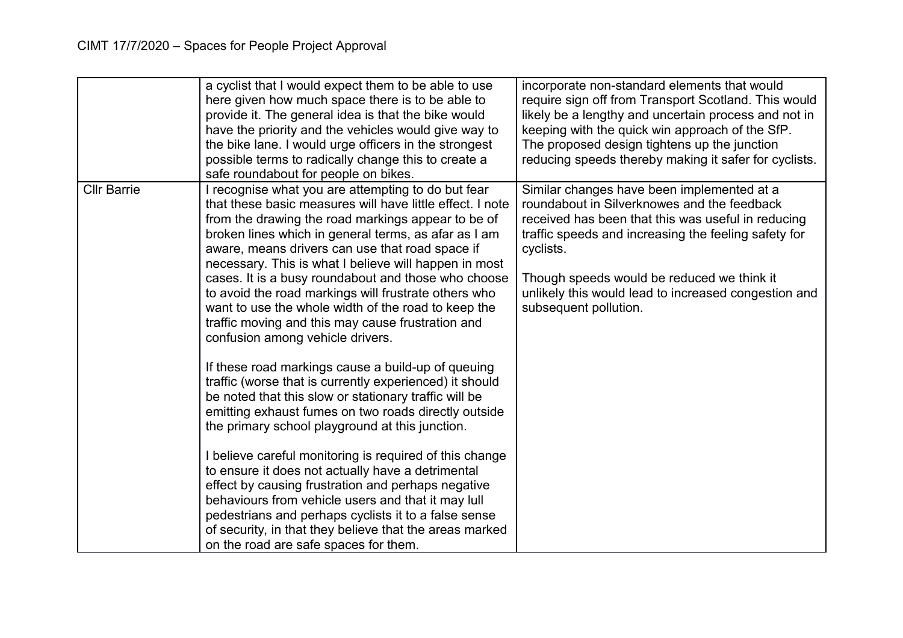|                    | a cyclist that I would expect them to be able to use<br>here given how much space there is to be able to<br>provide it. The general idea is that the bike would<br>have the priority and the vehicles would give way to<br>the bike lane. I would urge officers in the strongest<br>possible terms to radically change this to create a<br>safe roundabout for people on bikes.                                                                                                                                                                                                                                                                                                                                                                                                                                                                                                                                                                                                                                                                                                                                                                                                                                                                                                       | incorporate non-standard elements that would<br>require sign off from Transport Scotland. This would<br>likely be a lengthy and uncertain process and not in<br>keeping with the quick win approach of the SfP.<br>The proposed design tightens up the junction<br>reducing speeds thereby making it safer for cyclists.                            |
|--------------------|---------------------------------------------------------------------------------------------------------------------------------------------------------------------------------------------------------------------------------------------------------------------------------------------------------------------------------------------------------------------------------------------------------------------------------------------------------------------------------------------------------------------------------------------------------------------------------------------------------------------------------------------------------------------------------------------------------------------------------------------------------------------------------------------------------------------------------------------------------------------------------------------------------------------------------------------------------------------------------------------------------------------------------------------------------------------------------------------------------------------------------------------------------------------------------------------------------------------------------------------------------------------------------------|-----------------------------------------------------------------------------------------------------------------------------------------------------------------------------------------------------------------------------------------------------------------------------------------------------------------------------------------------------|
| <b>Cllr Barrie</b> | I recognise what you are attempting to do but fear<br>that these basic measures will have little effect. I note<br>from the drawing the road markings appear to be of<br>broken lines which in general terms, as afar as I am<br>aware, means drivers can use that road space if<br>necessary. This is what I believe will happen in most<br>cases. It is a busy roundabout and those who choose<br>to avoid the road markings will frustrate others who<br>want to use the whole width of the road to keep the<br>traffic moving and this may cause frustration and<br>confusion among vehicle drivers.<br>If these road markings cause a build-up of queuing<br>traffic (worse that is currently experienced) it should<br>be noted that this slow or stationary traffic will be<br>emitting exhaust fumes on two roads directly outside<br>the primary school playground at this junction.<br>I believe careful monitoring is required of this change<br>to ensure it does not actually have a detrimental<br>effect by causing frustration and perhaps negative<br>behaviours from vehicle users and that it may lull<br>pedestrians and perhaps cyclists it to a false sense<br>of security, in that they believe that the areas marked<br>on the road are safe spaces for them. | Similar changes have been implemented at a<br>roundabout in Silverknowes and the feedback<br>received has been that this was useful in reducing<br>traffic speeds and increasing the feeling safety for<br>cyclists.<br>Though speeds would be reduced we think it<br>unlikely this would lead to increased congestion and<br>subsequent pollution. |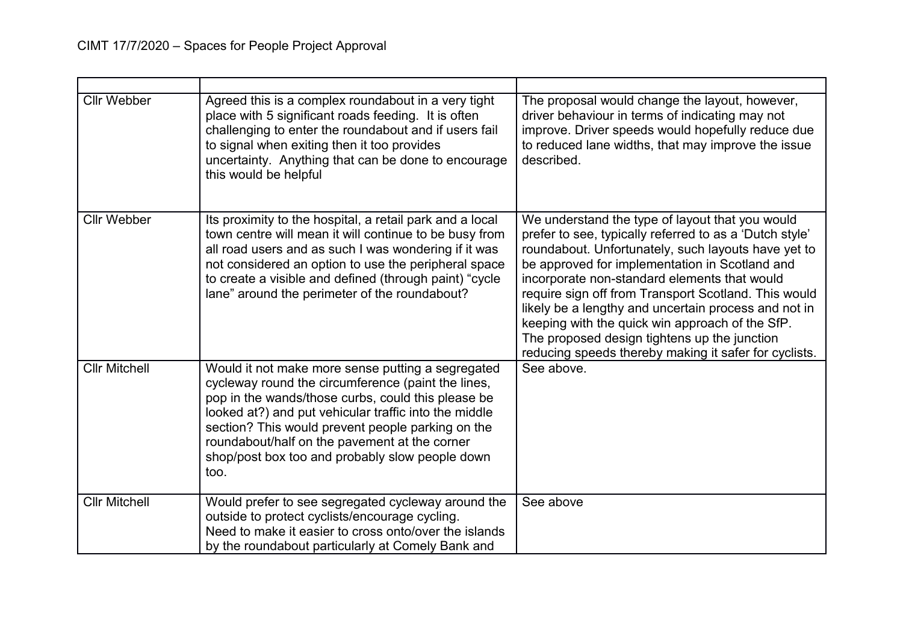| <b>Cllr Webber</b>   | Agreed this is a complex roundabout in a very tight<br>place with 5 significant roads feeding. It is often<br>challenging to enter the roundabout and if users fail<br>to signal when exiting then it too provides<br>uncertainty. Anything that can be done to encourage<br>this would be helpful                                                                                      | The proposal would change the layout, however,<br>driver behaviour in terms of indicating may not<br>improve. Driver speeds would hopefully reduce due<br>to reduced lane widths, that may improve the issue<br>described.                                                                                                                                                                                                                                                                                                                      |
|----------------------|-----------------------------------------------------------------------------------------------------------------------------------------------------------------------------------------------------------------------------------------------------------------------------------------------------------------------------------------------------------------------------------------|-------------------------------------------------------------------------------------------------------------------------------------------------------------------------------------------------------------------------------------------------------------------------------------------------------------------------------------------------------------------------------------------------------------------------------------------------------------------------------------------------------------------------------------------------|
| <b>Cllr Webber</b>   | Its proximity to the hospital, a retail park and a local<br>town centre will mean it will continue to be busy from<br>all road users and as such I was wondering if it was<br>not considered an option to use the peripheral space<br>to create a visible and defined (through paint) "cycle<br>lane" around the perimeter of the roundabout?                                           | We understand the type of layout that you would<br>prefer to see, typically referred to as a 'Dutch style'<br>roundabout. Unfortunately, such layouts have yet to<br>be approved for implementation in Scotland and<br>incorporate non-standard elements that would<br>require sign off from Transport Scotland. This would<br>likely be a lengthy and uncertain process and not in<br>keeping with the quick win approach of the SfP.<br>The proposed design tightens up the junction<br>reducing speeds thereby making it safer for cyclists. |
| <b>Cllr Mitchell</b> | Would it not make more sense putting a segregated<br>cycleway round the circumference (paint the lines,<br>pop in the wands/those curbs, could this please be<br>looked at?) and put vehicular traffic into the middle<br>section? This would prevent people parking on the<br>roundabout/half on the pavement at the corner<br>shop/post box too and probably slow people down<br>too. | See above.                                                                                                                                                                                                                                                                                                                                                                                                                                                                                                                                      |
| <b>Cllr Mitchell</b> | Would prefer to see segregated cycleway around the<br>outside to protect cyclists/encourage cycling.<br>Need to make it easier to cross onto/over the islands<br>by the roundabout particularly at Comely Bank and                                                                                                                                                                      | See above                                                                                                                                                                                                                                                                                                                                                                                                                                                                                                                                       |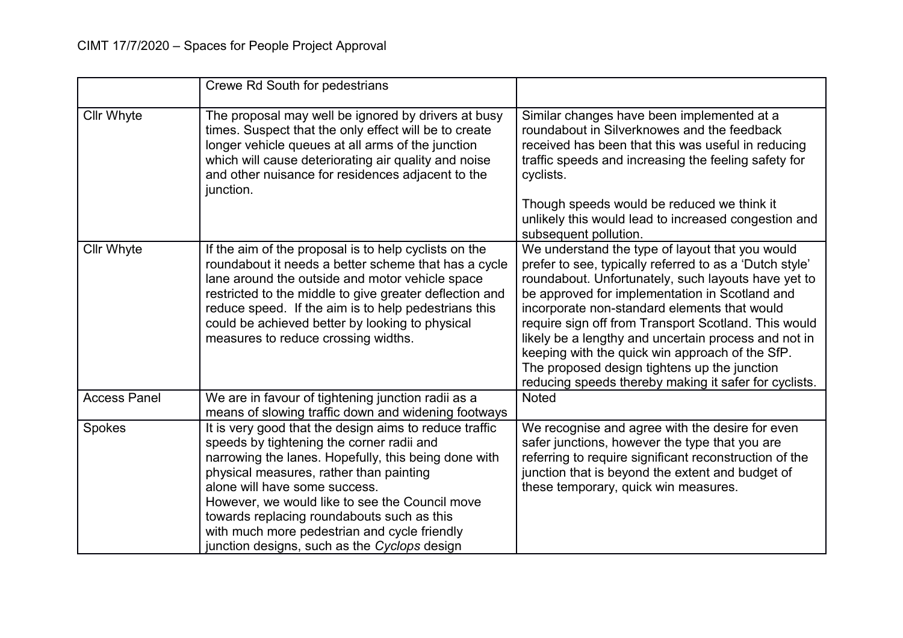|                     | <b>Crewe Rd South for pedestrians</b>                                                                                                                                                                                                                                                                                                                                                                                                   |                                                                                                                                                                                                                                                                                                                                                                                                                                                                                                                                                 |
|---------------------|-----------------------------------------------------------------------------------------------------------------------------------------------------------------------------------------------------------------------------------------------------------------------------------------------------------------------------------------------------------------------------------------------------------------------------------------|-------------------------------------------------------------------------------------------------------------------------------------------------------------------------------------------------------------------------------------------------------------------------------------------------------------------------------------------------------------------------------------------------------------------------------------------------------------------------------------------------------------------------------------------------|
| <b>Cllr Whyte</b>   | The proposal may well be ignored by drivers at busy<br>times. Suspect that the only effect will be to create<br>longer vehicle queues at all arms of the junction<br>which will cause deteriorating air quality and noise<br>and other nuisance for residences adjacent to the<br>junction.                                                                                                                                             | Similar changes have been implemented at a<br>roundabout in Silverknowes and the feedback<br>received has been that this was useful in reducing<br>traffic speeds and increasing the feeling safety for<br>cyclists.                                                                                                                                                                                                                                                                                                                            |
|                     |                                                                                                                                                                                                                                                                                                                                                                                                                                         | Though speeds would be reduced we think it<br>unlikely this would lead to increased congestion and<br>subsequent pollution.                                                                                                                                                                                                                                                                                                                                                                                                                     |
| <b>Cllr Whyte</b>   | If the aim of the proposal is to help cyclists on the<br>roundabout it needs a better scheme that has a cycle<br>lane around the outside and motor vehicle space<br>restricted to the middle to give greater deflection and<br>reduce speed. If the aim is to help pedestrians this<br>could be achieved better by looking to physical<br>measures to reduce crossing widths.                                                           | We understand the type of layout that you would<br>prefer to see, typically referred to as a 'Dutch style'<br>roundabout. Unfortunately, such layouts have yet to<br>be approved for implementation in Scotland and<br>incorporate non-standard elements that would<br>require sign off from Transport Scotland. This would<br>likely be a lengthy and uncertain process and not in<br>keeping with the quick win approach of the SfP.<br>The proposed design tightens up the junction<br>reducing speeds thereby making it safer for cyclists. |
| <b>Access Panel</b> | We are in favour of tightening junction radii as a<br>means of slowing traffic down and widening footways                                                                                                                                                                                                                                                                                                                               | <b>Noted</b>                                                                                                                                                                                                                                                                                                                                                                                                                                                                                                                                    |
| Spokes              | It is very good that the design aims to reduce traffic<br>speeds by tightening the corner radii and<br>narrowing the lanes. Hopefully, this being done with<br>physical measures, rather than painting<br>alone will have some success.<br>However, we would like to see the Council move<br>towards replacing roundabouts such as this<br>with much more pedestrian and cycle friendly<br>junction designs, such as the Cyclops design | We recognise and agree with the desire for even<br>safer junctions, however the type that you are<br>referring to require significant reconstruction of the<br>junction that is beyond the extent and budget of<br>these temporary, quick win measures.                                                                                                                                                                                                                                                                                         |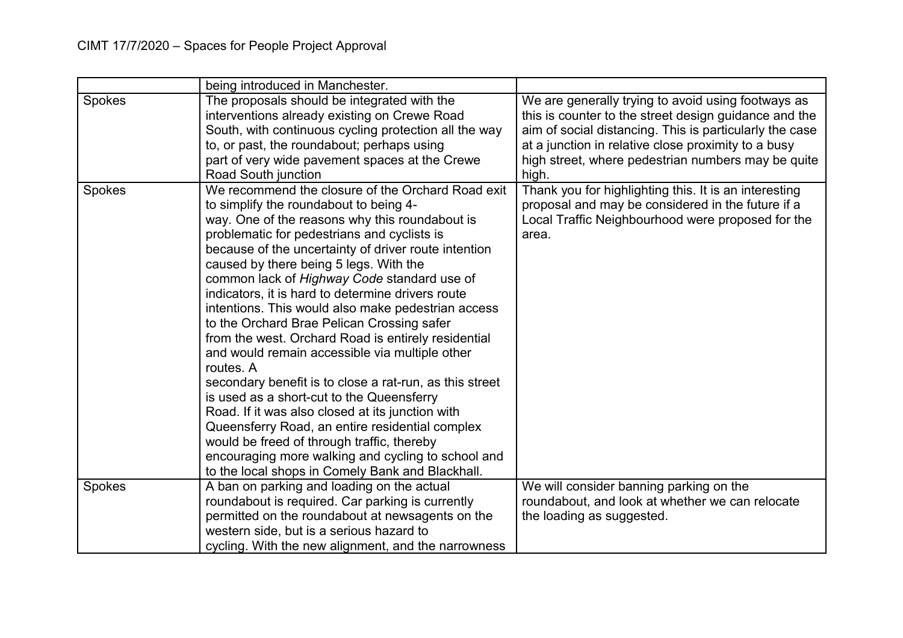|        | being introduced in Manchester.                                                                                                                                                                                                                                                                                                                                                                                                                                                                                                                                                                                                                                                                                                                                                                                                                                                                                                                                                                     |                                                                                                                                                                                                                                                                                              |
|--------|-----------------------------------------------------------------------------------------------------------------------------------------------------------------------------------------------------------------------------------------------------------------------------------------------------------------------------------------------------------------------------------------------------------------------------------------------------------------------------------------------------------------------------------------------------------------------------------------------------------------------------------------------------------------------------------------------------------------------------------------------------------------------------------------------------------------------------------------------------------------------------------------------------------------------------------------------------------------------------------------------------|----------------------------------------------------------------------------------------------------------------------------------------------------------------------------------------------------------------------------------------------------------------------------------------------|
| Spokes | The proposals should be integrated with the<br>interventions already existing on Crewe Road<br>South, with continuous cycling protection all the way<br>to, or past, the roundabout; perhaps using<br>part of very wide pavement spaces at the Crewe<br>Road South junction                                                                                                                                                                                                                                                                                                                                                                                                                                                                                                                                                                                                                                                                                                                         | We are generally trying to avoid using footways as<br>this is counter to the street design guidance and the<br>aim of social distancing. This is particularly the case<br>at a junction in relative close proximity to a busy<br>high street, where pedestrian numbers may be quite<br>high. |
| Spokes | We recommend the closure of the Orchard Road exit<br>to simplify the roundabout to being 4-<br>way. One of the reasons why this roundabout is<br>problematic for pedestrians and cyclists is<br>because of the uncertainty of driver route intention<br>caused by there being 5 legs. With the<br>common lack of Highway Code standard use of<br>indicators, it is hard to determine drivers route<br>intentions. This would also make pedestrian access<br>to the Orchard Brae Pelican Crossing safer<br>from the west. Orchard Road is entirely residential<br>and would remain accessible via multiple other<br>routes. A<br>secondary benefit is to close a rat-run, as this street<br>is used as a short-cut to the Queensferry<br>Road. If it was also closed at its junction with<br>Queensferry Road, an entire residential complex<br>would be freed of through traffic, thereby<br>encouraging more walking and cycling to school and<br>to the local shops in Comely Bank and Blackhall. | Thank you for highlighting this. It is an interesting<br>proposal and may be considered in the future if a<br>Local Traffic Neighbourhood were proposed for the<br>area.                                                                                                                     |
| Spokes | A ban on parking and loading on the actual<br>roundabout is required. Car parking is currently<br>permitted on the roundabout at newsagents on the<br>western side, but is a serious hazard to<br>cycling. With the new alignment, and the narrowness                                                                                                                                                                                                                                                                                                                                                                                                                                                                                                                                                                                                                                                                                                                                               | We will consider banning parking on the<br>roundabout, and look at whether we can relocate<br>the loading as suggested.                                                                                                                                                                      |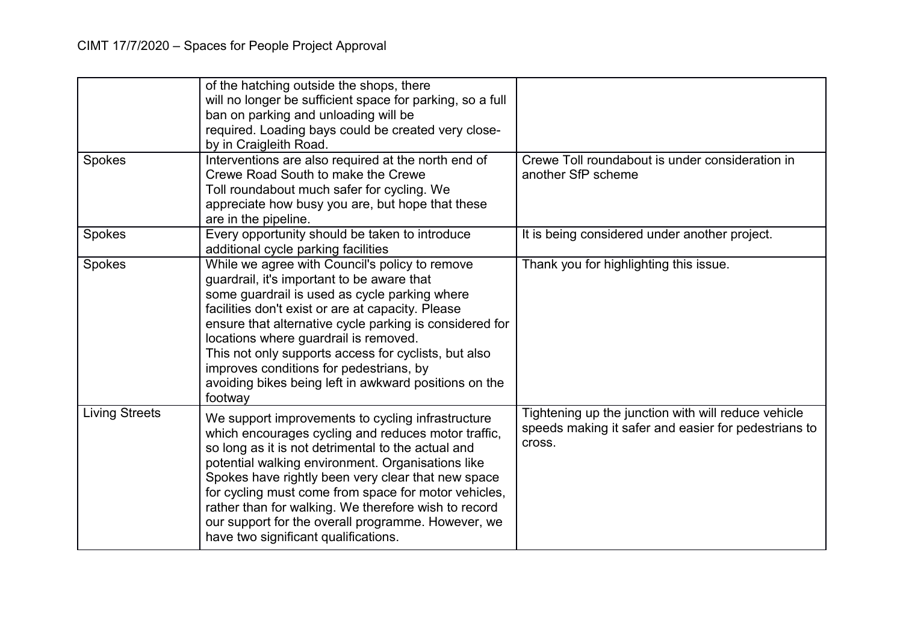|                       | of the hatching outside the shops, there                                                                 |                                                                                                             |
|-----------------------|----------------------------------------------------------------------------------------------------------|-------------------------------------------------------------------------------------------------------------|
|                       | will no longer be sufficient space for parking, so a full                                                |                                                                                                             |
|                       | ban on parking and unloading will be                                                                     |                                                                                                             |
|                       | required. Loading bays could be created very close-                                                      |                                                                                                             |
|                       | by in Craigleith Road.                                                                                   |                                                                                                             |
| Spokes                | Interventions are also required at the north end of                                                      | Crewe Toll roundabout is under consideration in                                                             |
|                       | Crewe Road South to make the Crewe                                                                       | another SfP scheme                                                                                          |
|                       | Toll roundabout much safer for cycling. We                                                               |                                                                                                             |
|                       | appreciate how busy you are, but hope that these                                                         |                                                                                                             |
|                       | are in the pipeline.                                                                                     |                                                                                                             |
| Spokes                | Every opportunity should be taken to introduce<br>additional cycle parking facilities                    | It is being considered under another project.                                                               |
| Spokes                | While we agree with Council's policy to remove                                                           | Thank you for highlighting this issue.                                                                      |
|                       | guardrail, it's important to be aware that                                                               |                                                                                                             |
|                       | some guardrail is used as cycle parking where                                                            |                                                                                                             |
|                       | facilities don't exist or are at capacity. Please                                                        |                                                                                                             |
|                       | ensure that alternative cycle parking is considered for                                                  |                                                                                                             |
|                       | locations where guardrail is removed.                                                                    |                                                                                                             |
|                       | This not only supports access for cyclists, but also                                                     |                                                                                                             |
|                       | improves conditions for pedestrians, by                                                                  |                                                                                                             |
|                       | avoiding bikes being left in awkward positions on the                                                    |                                                                                                             |
|                       | footway                                                                                                  |                                                                                                             |
| <b>Living Streets</b> | We support improvements to cycling infrastructure<br>which encourages cycling and reduces motor traffic, | Tightening up the junction with will reduce vehicle<br>speeds making it safer and easier for pedestrians to |
|                       | so long as it is not detrimental to the actual and                                                       | cross.                                                                                                      |
|                       | potential walking environment. Organisations like                                                        |                                                                                                             |
|                       | Spokes have rightly been very clear that new space                                                       |                                                                                                             |
|                       | for cycling must come from space for motor vehicles,                                                     |                                                                                                             |
|                       | rather than for walking. We therefore wish to record                                                     |                                                                                                             |
|                       | our support for the overall programme. However, we                                                       |                                                                                                             |
|                       | have two significant qualifications.                                                                     |                                                                                                             |
|                       |                                                                                                          |                                                                                                             |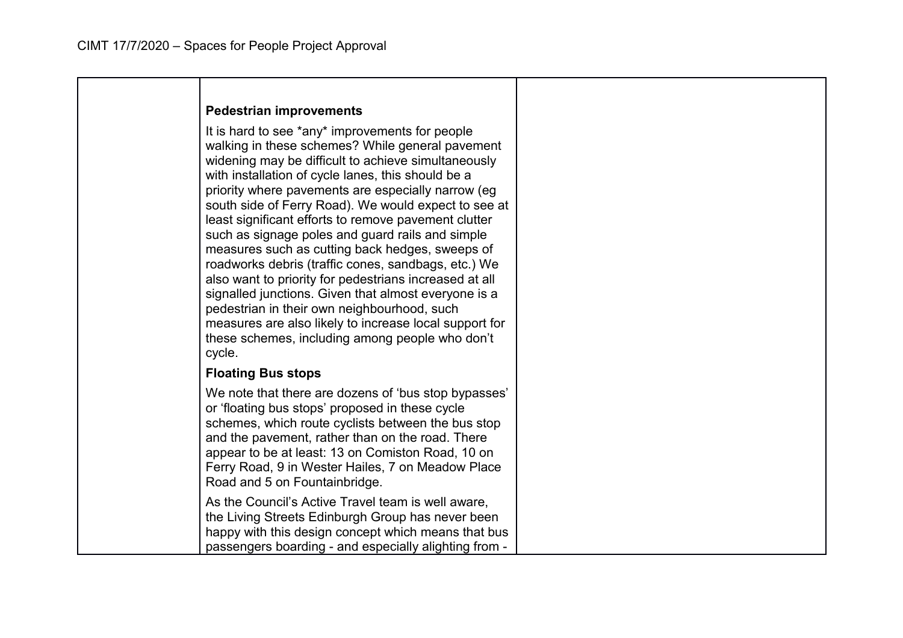|  |  | Pedestrian improvements |
|--|--|-------------------------|
|--|--|-------------------------|

It is hard to see \*any\* improvements for people walking in these schemes? While general pavement widening may be difficult to achieve simultaneously with installation of cycle lanes, this should be a priority where pavements are especially narrow (eg south side of Ferry Road). We would expect to see at least significant efforts to remove pavement clutter such as signage poles and guard rails and simple measures such as cutting back hedges, sweeps of roadworks debris (traffic cones, sandbags, etc.) We also want to priority for pedestrians increased at all signalled junctions. Given that almost everyone is a pedestrian in their own neighbourhood, such measures are also likely to increase local support for these schemes, including among people who don't cycle.

## **Floating Bus stops**

We note that there are dozens of 'bus stop bypasses' or 'floating bus stops' proposed in these cycle schemes, which route cyclists between the bus stop and the pavement, rather than on the road. There appear to be at least: 13 on Comiston Road, 10 on Ferry Road, 9 in Wester Hailes, 7 on Meadow Place Road and 5 on Fountainbridge. As the Council's Active Travel team is well aware,

the Living Streets Edinburgh Group has never been happy with this design concept which means that bus passengers boarding - and especially alighting from -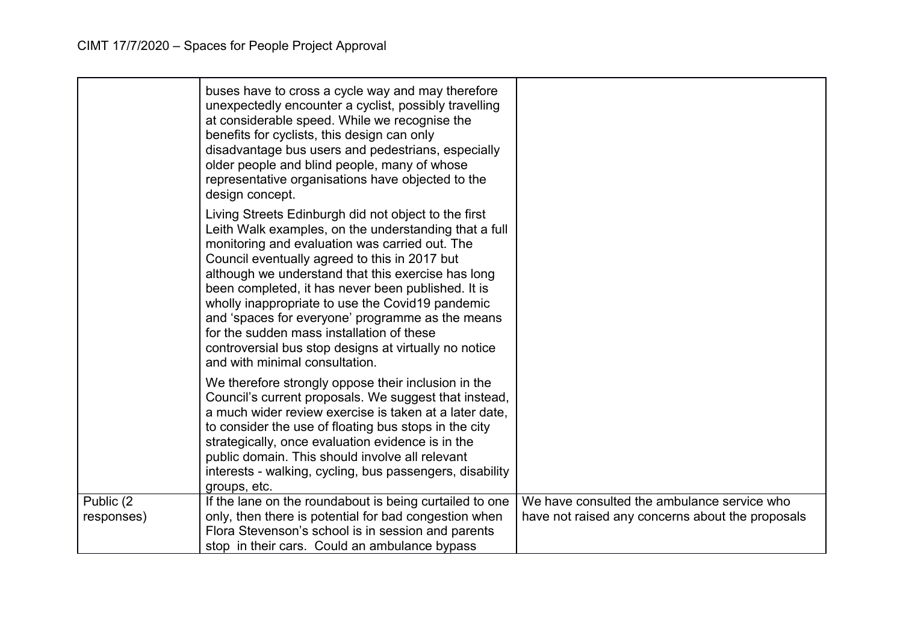|                          | buses have to cross a cycle way and may therefore<br>unexpectedly encounter a cyclist, possibly travelling<br>at considerable speed. While we recognise the<br>benefits for cyclists, this design can only<br>disadvantage bus users and pedestrians, especially<br>older people and blind people, many of whose<br>representative organisations have objected to the<br>design concept.                                                                                                                                                                                     |                                                                                                 |
|--------------------------|------------------------------------------------------------------------------------------------------------------------------------------------------------------------------------------------------------------------------------------------------------------------------------------------------------------------------------------------------------------------------------------------------------------------------------------------------------------------------------------------------------------------------------------------------------------------------|-------------------------------------------------------------------------------------------------|
|                          | Living Streets Edinburgh did not object to the first<br>Leith Walk examples, on the understanding that a full<br>monitoring and evaluation was carried out. The<br>Council eventually agreed to this in 2017 but<br>although we understand that this exercise has long<br>been completed, it has never been published. It is<br>wholly inappropriate to use the Covid19 pandemic<br>and 'spaces for everyone' programme as the means<br>for the sudden mass installation of these<br>controversial bus stop designs at virtually no notice<br>and with minimal consultation. |                                                                                                 |
|                          | We therefore strongly oppose their inclusion in the<br>Council's current proposals. We suggest that instead,<br>a much wider review exercise is taken at a later date,<br>to consider the use of floating bus stops in the city<br>strategically, once evaluation evidence is in the<br>public domain. This should involve all relevant<br>interests - walking, cycling, bus passengers, disability<br>groups, etc.                                                                                                                                                          |                                                                                                 |
| Public (2)<br>responses) | If the lane on the roundabout is being curtailed to one<br>only, then there is potential for bad congestion when<br>Flora Stevenson's school is in session and parents<br>stop in their cars. Could an ambulance bypass                                                                                                                                                                                                                                                                                                                                                      | We have consulted the ambulance service who<br>have not raised any concerns about the proposals |